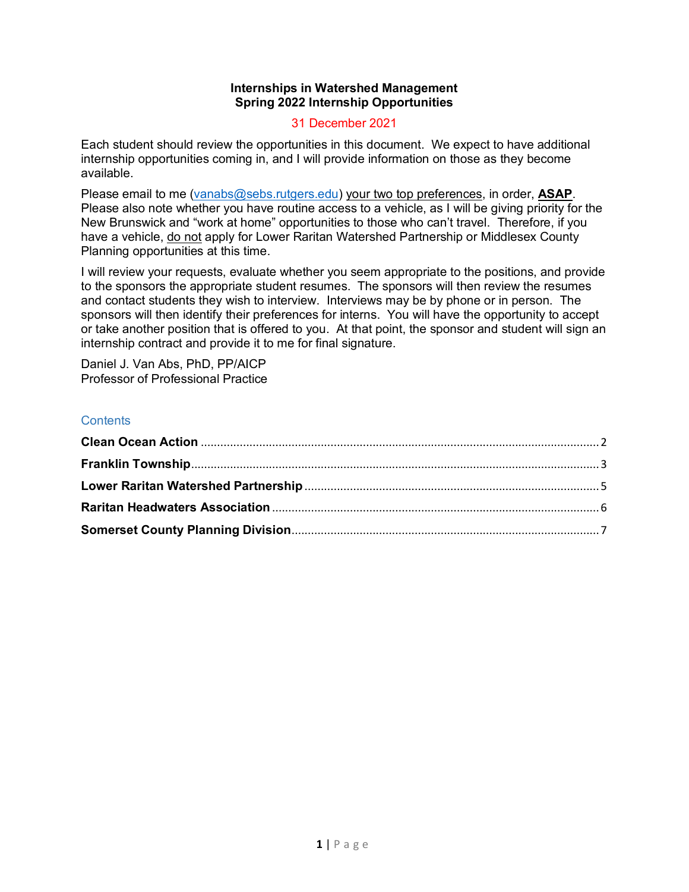## **Internships in Watershed Management Spring 2022 Internship Opportunities**

### 31 December 2021

Each student should review the opportunities in this document. We expect to have additional internship opportunities coming in, and I will provide information on those as they become available.

Please email to me [\(vanabs@sebs.rutgers.edu\)](mailto:vanabs@sebs.rutgers.edu) your two top preferences, in order, **ASAP**. Please also note whether you have routine access to a vehicle, as I will be giving priority for the New Brunswick and "work at home" opportunities to those who can't travel. Therefore, if you have a vehicle, do not apply for Lower Raritan Watershed Partnership or Middlesex County Planning opportunities at this time.

I will review your requests, evaluate whether you seem appropriate to the positions, and provide to the sponsors the appropriate student resumes. The sponsors will then review the resumes and contact students they wish to interview. Interviews may be by phone or in person. The sponsors will then identify their preferences for interns. You will have the opportunity to accept or take another position that is offered to you. At that point, the sponsor and student will sign an internship contract and provide it to me for final signature.

Daniel J. Van Abs, PhD, PP/AICP Professor of Professional Practice

# **Contents**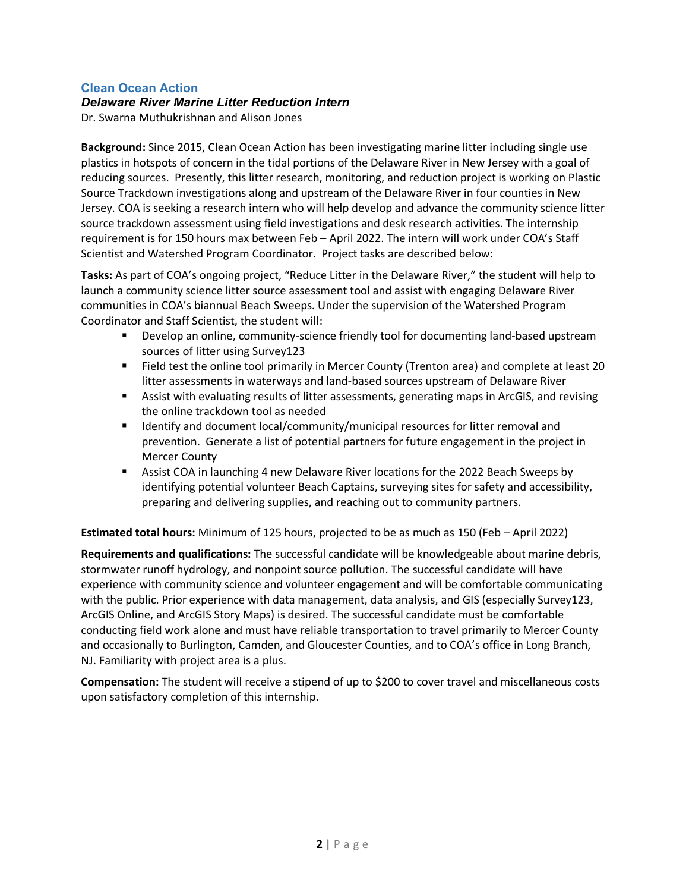# <span id="page-1-0"></span>**Clean Ocean Action**

#### *Delaware River Marine Litter Reduction Intern*

Dr. Swarna Muthukrishnan and Alison Jones

**Background:** Since 2015, Clean Ocean Action has been investigating marine litter including single use plastics in hotspots of concern in the tidal portions of the Delaware River in New Jersey with a goal of reducing sources. Presently, this litter research, monitoring, and reduction project is working on Plastic Source Trackdown investigations along and upstream of the Delaware River in four counties in New Jersey. COA is seeking a research intern who will help develop and advance the community science litter source trackdown assessment using field investigations and desk research activities. The internship requirement is for 150 hours max between Feb – April 2022. The intern will work under COA's Staff Scientist and Watershed Program Coordinator. Project tasks are described below:

**Tasks:** As part of COA's ongoing project, "Reduce Litter in the Delaware River," the student will help to launch a community science litter source assessment tool and assist with engaging Delaware River communities in COA's biannual Beach Sweeps. Under the supervision of the Watershed Program Coordinator and Staff Scientist, the student will:

- Develop an online, community-science friendly tool for documenting land-based upstream sources of litter using Survey123
- Field test the online tool primarily in Mercer County (Trenton area) and complete at least 20 litter assessments in waterways and land-based sources upstream of Delaware River
- Assist with evaluating results of litter assessments, generating maps in ArcGIS, and revising the online trackdown tool as needed
- **If all identify and document local/community/municipal resources for litter removal and** prevention. Generate a list of potential partners for future engagement in the project in Mercer County
- Assist COA in launching 4 new Delaware River locations for the 2022 Beach Sweeps by identifying potential volunteer Beach Captains, surveying sites for safety and accessibility, preparing and delivering supplies, and reaching out to community partners.

**Estimated total hours:** Minimum of 125 hours, projected to be as much as 150 (Feb – April 2022)

**Requirements and qualifications:** The successful candidate will be knowledgeable about marine debris, stormwater runoff hydrology, and nonpoint source pollution. The successful candidate will have experience with community science and volunteer engagement and will be comfortable communicating with the public. Prior experience with data management, data analysis, and GIS (especially Survey123, ArcGIS Online, and ArcGIS Story Maps) is desired. The successful candidate must be comfortable conducting field work alone and must have reliable transportation to travel primarily to Mercer County and occasionally to Burlington, Camden, and Gloucester Counties, and to COA's office in Long Branch, NJ. Familiarity with project area is a plus.

**Compensation:** The student will receive a stipend of up to \$200 to cover travel and miscellaneous costs upon satisfactory completion of this internship.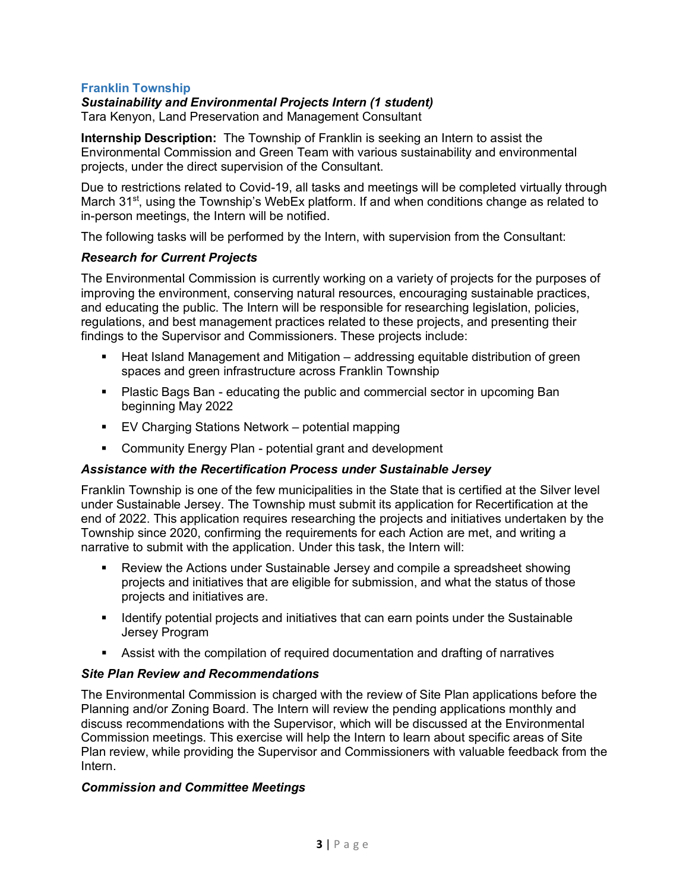# <span id="page-2-0"></span>**Franklin Township**

# *Sustainability and Environmental Projects Intern (1 student)*

Tara Kenyon, Land Preservation and Management Consultant

**Internship Description:** The Township of Franklin is seeking an Intern to assist the Environmental Commission and Green Team with various sustainability and environmental projects, under the direct supervision of the Consultant.

Due to restrictions related to Covid-19, all tasks and meetings will be completed virtually through March 31<sup>st</sup>, using the Township's WebEx platform. If and when conditions change as related to in-person meetings, the Intern will be notified.

The following tasks will be performed by the Intern, with supervision from the Consultant:

# *Research for Current Projects*

The Environmental Commission is currently working on a variety of projects for the purposes of improving the environment, conserving natural resources, encouraging sustainable practices, and educating the public. The Intern will be responsible for researching legislation, policies, regulations, and best management practices related to these projects, and presenting their findings to the Supervisor and Commissioners. These projects include:

- Heat Island Management and Mitigation addressing equitable distribution of green spaces and green infrastructure across Franklin Township
- Plastic Bags Ban educating the public and commercial sector in upcoming Ban beginning May 2022
- EV Charging Stations Network potential mapping
- **Community Energy Plan potential grant and development**

# *Assistance with the Recertification Process under Sustainable Jersey*

Franklin Township is one of the few municipalities in the State that is certified at the Silver level under Sustainable Jersey. The Township must submit its application for Recertification at the end of 2022. This application requires researching the projects and initiatives undertaken by the Township since 2020, confirming the requirements for each Action are met, and writing a narrative to submit with the application. Under this task, the Intern will:

- Review the Actions under Sustainable Jersey and compile a spreadsheet showing projects and initiatives that are eligible for submission, and what the status of those projects and initiatives are.
- **If all identify potential projects and initiatives that can earn points under the Sustainable** Jersey Program
- Assist with the compilation of required documentation and drafting of narratives

# *Site Plan Review and Recommendations*

The Environmental Commission is charged with the review of Site Plan applications before the Planning and/or Zoning Board. The Intern will review the pending applications monthly and discuss recommendations with the Supervisor, which will be discussed at the Environmental Commission meetings. This exercise will help the Intern to learn about specific areas of Site Plan review, while providing the Supervisor and Commissioners with valuable feedback from the Intern.

# *Commission and Committee Meetings*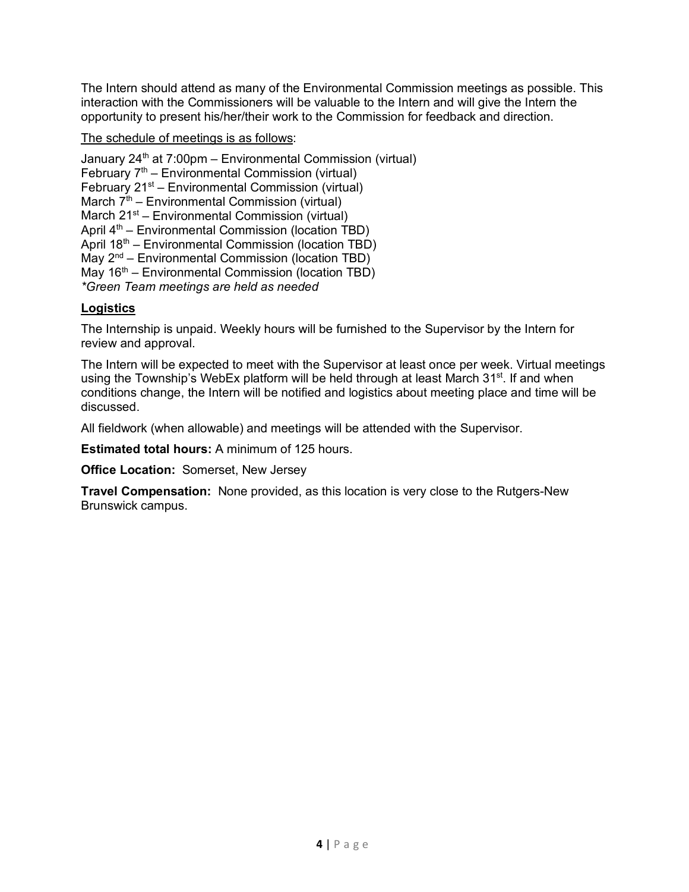The Intern should attend as many of the Environmental Commission meetings as possible. This interaction with the Commissioners will be valuable to the Intern and will give the Intern the opportunity to present his/her/their work to the Commission for feedback and direction.

# The schedule of meetings is as follows:

January  $24<sup>th</sup>$  at  $7:00$ pm – Environmental Commission (virtual) February  $7<sup>th</sup>$  – Environmental Commission (virtual) February 21st – Environmental Commission (virtual) March  $7<sup>th</sup>$  – Environmental Commission (virtual) March  $21^{st}$  – Environmental Commission (virtual) April  $4<sup>th</sup>$  – Environmental Commission (location TBD) April  $18<sup>th</sup>$  – Environmental Commission (location TBD) May  $2^{nd}$  – Environmental Commission (location TBD) May  $16<sup>th</sup>$  – Environmental Commission (location TBD) *\*Green Team meetings are held as needed*

### **Logistics**

The Internship is unpaid. Weekly hours will be furnished to the Supervisor by the Intern for review and approval.

The Intern will be expected to meet with the Supervisor at least once per week. Virtual meetings using the Township's WebEx platform will be held through at least March  $31<sup>st</sup>$ . If and when conditions change, the Intern will be notified and logistics about meeting place and time will be discussed.

All fieldwork (when allowable) and meetings will be attended with the Supervisor.

**Estimated total hours:** A minimum of 125 hours.

**Office Location:** Somerset, New Jersey

**Travel Compensation:** None provided, as this location is very close to the Rutgers-New Brunswick campus.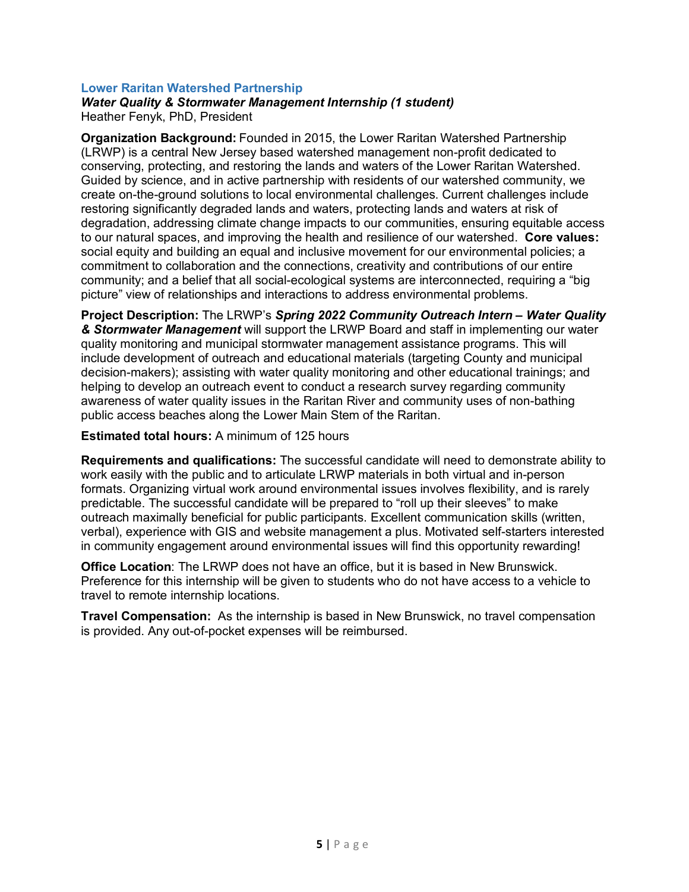# <span id="page-4-0"></span>**Lower Raritan Watershed Partnership**

# *Water Quality & Stormwater Management Internship (1 student)*

Heather Fenyk, PhD, President

**Organization Background:** Founded in 2015, the Lower Raritan Watershed Partnership (LRWP) is a central New Jersey based watershed management non-profit dedicated to conserving, protecting, and restoring the lands and waters of the Lower Raritan Watershed. Guided by science, and in active partnership with residents of our watershed community, we create on-the-ground solutions to local environmental challenges. Current challenges include restoring significantly degraded lands and waters, protecting lands and waters at risk of degradation, addressing climate change impacts to our communities, ensuring equitable access to our natural spaces, and improving the health and resilience of our watershed. **Core values:** social equity and building an equal and inclusive movement for our environmental policies; a commitment to collaboration and the connections, creativity and contributions of our entire community; and a belief that all social-ecological systems are interconnected, requiring a "big picture" view of relationships and interactions to address environmental problems.

**Project Description:** The LRWP's *Spring 2022 Community Outreach Intern – Water Quality & Stormwater Management* will support the LRWP Board and staff in implementing our water quality monitoring and municipal stormwater management assistance programs. This will include development of outreach and educational materials (targeting County and municipal decision-makers); assisting with water quality monitoring and other educational trainings; and helping to develop an outreach event to conduct a research survey regarding community awareness of water quality issues in the Raritan River and community uses of non-bathing public access beaches along the Lower Main Stem of the Raritan.

**Estimated total hours:** A minimum of 125 hours

**Requirements and qualifications:** The successful candidate will need to demonstrate ability to work easily with the public and to articulate LRWP materials in both virtual and in-person formats. Organizing virtual work around environmental issues involves flexibility, and is rarely predictable. The successful candidate will be prepared to "roll up their sleeves" to make outreach maximally beneficial for public participants. Excellent communication skills (written, verbal), experience with GIS and website management a plus. Motivated self-starters interested in community engagement around environmental issues will find this opportunity rewarding!

**Office Location**: The LRWP does not have an office, but it is based in New Brunswick. Preference for this internship will be given to students who do not have access to a vehicle to travel to remote internship locations.

**Travel Compensation:** As the internship is based in New Brunswick, no travel compensation is provided. Any out-of-pocket expenses will be reimbursed.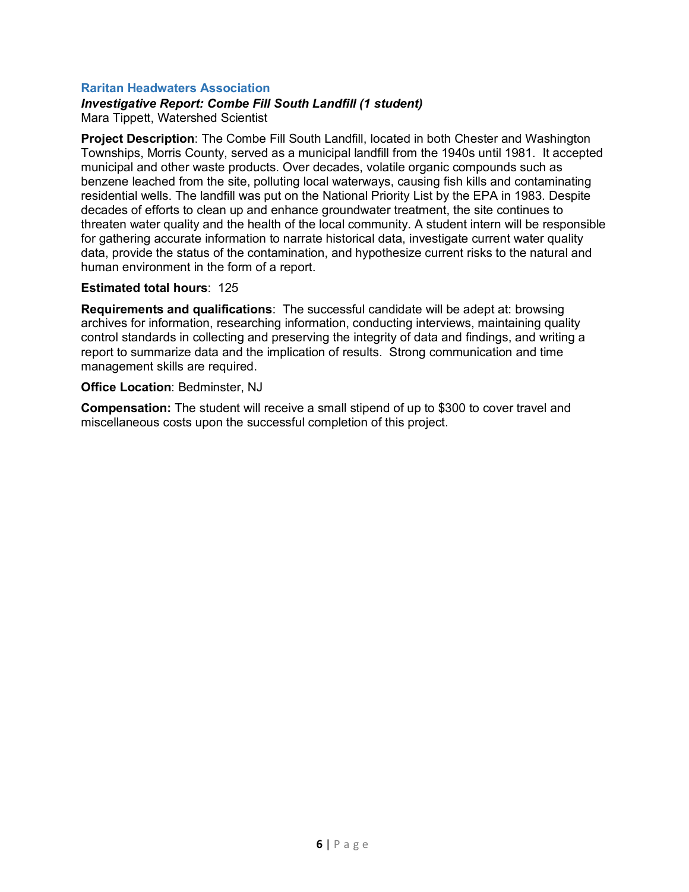# <span id="page-5-0"></span>**Raritan Headwaters Association**

# *Investigative Report: Combe Fill South Landfill (1 student)*

Mara Tippett, Watershed Scientist

**Project Description**: The Combe Fill South Landfill, located in both Chester and Washington Townships, Morris County, served as a municipal landfill from the 1940s until 1981. It accepted municipal and other waste products. Over decades, volatile organic compounds such as benzene leached from the site, polluting local waterways, causing fish kills and contaminating residential wells. The landfill was put on the National Priority List by the EPA in 1983. Despite decades of efforts to clean up and enhance groundwater treatment, the site continues to threaten water quality and the health of the local community. A student intern will be responsible for gathering accurate information to narrate historical data, investigate current water quality data, provide the status of the contamination, and hypothesize current risks to the natural and human environment in the form of a report.

#### **Estimated total hours**: 125

**Requirements and qualifications**: The successful candidate will be adept at: browsing archives for information, researching information, conducting interviews, maintaining quality control standards in collecting and preserving the integrity of data and findings, and writing a report to summarize data and the implication of results. Strong communication and time management skills are required.

#### **Office Location**: Bedminster, NJ

**Compensation:** The student will receive a small stipend of up to \$300 to cover travel and miscellaneous costs upon the successful completion of this project.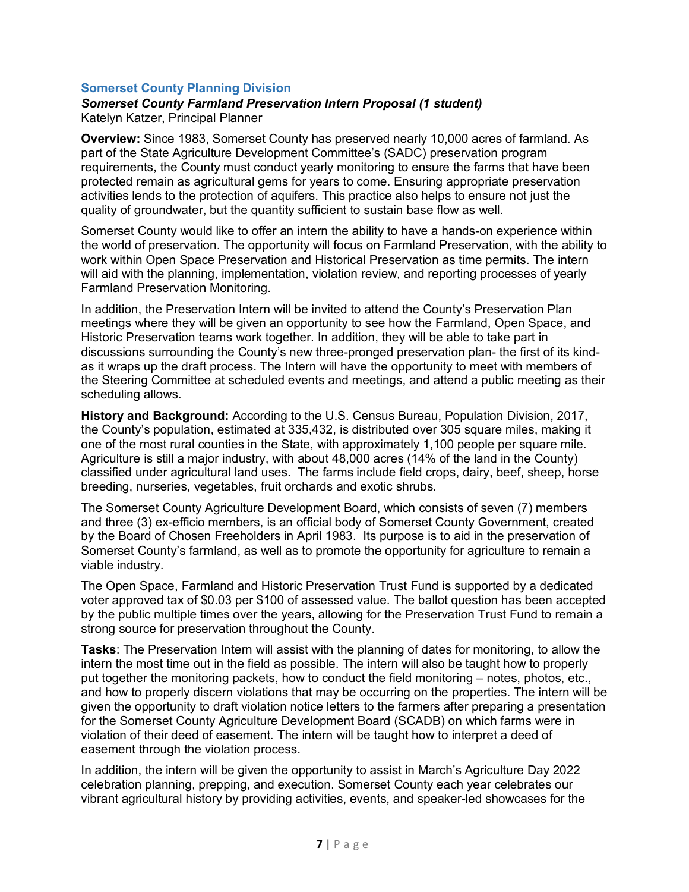# <span id="page-6-0"></span>**Somerset County Planning Division**

# *Somerset County Farmland Preservation Intern Proposal (1 student)*

Katelyn Katzer, Principal Planner

**Overview:** Since 1983, Somerset County has preserved nearly 10,000 acres of farmland. As part of the State Agriculture Development Committee's (SADC) preservation program requirements, the County must conduct yearly monitoring to ensure the farms that have been protected remain as agricultural gems for years to come. Ensuring appropriate preservation activities lends to the protection of aquifers. This practice also helps to ensure not just the quality of groundwater, but the quantity sufficient to sustain base flow as well.

Somerset County would like to offer an intern the ability to have a hands-on experience within the world of preservation. The opportunity will focus on Farmland Preservation, with the ability to work within Open Space Preservation and Historical Preservation as time permits. The intern will aid with the planning, implementation, violation review, and reporting processes of yearly Farmland Preservation Monitoring.

In addition, the Preservation Intern will be invited to attend the County's Preservation Plan meetings where they will be given an opportunity to see how the Farmland, Open Space, and Historic Preservation teams work together. In addition, they will be able to take part in discussions surrounding the County's new three-pronged preservation plan- the first of its kindas it wraps up the draft process. The Intern will have the opportunity to meet with members of the Steering Committee at scheduled events and meetings, and attend a public meeting as their scheduling allows.

**History and Background:** According to the U.S. Census Bureau, Population Division, 2017, the County's population, estimated at 335,432, is distributed over 305 square miles, making it one of the most rural counties in the State, with approximately 1,100 people per square mile. Agriculture is still a major industry, with about 48,000 acres (14% of the land in the County) classified under agricultural land uses. The farms include field crops, dairy, beef, sheep, horse breeding, nurseries, vegetables, fruit orchards and exotic shrubs.

The Somerset County Agriculture Development Board, which consists of seven (7) members and three (3) ex-efficio members, is an official body of Somerset County Government, created by the Board of Chosen Freeholders in April 1983. Its purpose is to aid in the preservation of Somerset County's farmland, as well as to promote the opportunity for agriculture to remain a viable industry.

The Open Space, Farmland and Historic Preservation Trust Fund is supported by a dedicated voter approved tax of \$0.03 per \$100 of assessed value. The ballot question has been accepted by the public multiple times over the years, allowing for the Preservation Trust Fund to remain a strong source for preservation throughout the County.

**Tasks**: The Preservation Intern will assist with the planning of dates for monitoring, to allow the intern the most time out in the field as possible. The intern will also be taught how to properly put together the monitoring packets, how to conduct the field monitoring – notes, photos, etc., and how to properly discern violations that may be occurring on the properties. The intern will be given the opportunity to draft violation notice letters to the farmers after preparing a presentation for the Somerset County Agriculture Development Board (SCADB) on which farms were in violation of their deed of easement. The intern will be taught how to interpret a deed of easement through the violation process.

In addition, the intern will be given the opportunity to assist in March's Agriculture Day 2022 celebration planning, prepping, and execution. Somerset County each year celebrates our vibrant agricultural history by providing activities, events, and speaker-led showcases for the